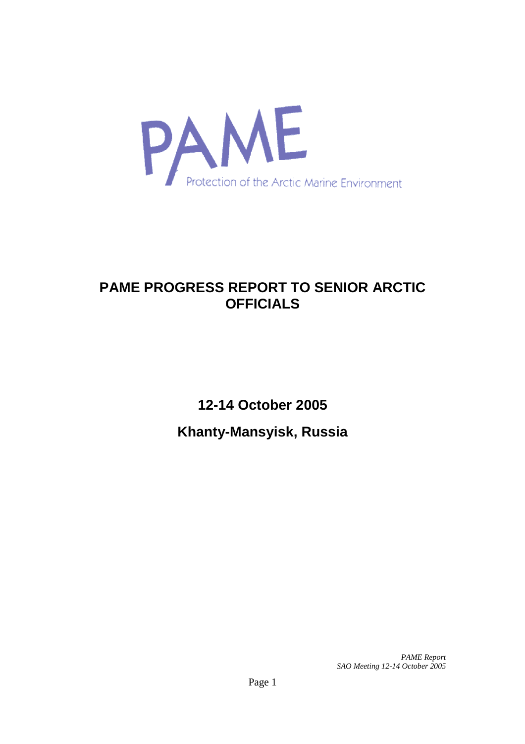

# **PAME PROGRESS REPORT TO SENIOR ARCTIC OFFICIALS**

**12-14 October 2005 Khanty-Mansyisk, Russia**

> *PAME Report SAO Meeting 12-14 October 2005*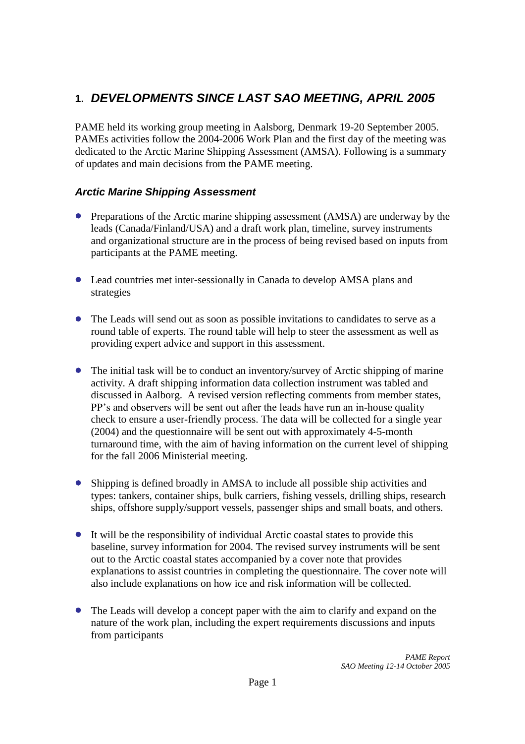## **1.** *DEVELOPMENTS SINCE LAST SAO MEETING, APRIL 2005*

PAME held its working group meeting in Aalsborg, Denmark 19-20 September 2005. PAMEs activities follow the 2004-2006 Work Plan and the first day of the meeting was dedicated to the Arctic Marine Shipping Assessment (AMSA). Following is a summary of updates and main decisions from the PAME meeting.

## *Arctic Marine Shipping Assessment*

- Preparations of the Arctic marine shipping assessment (AMSA) are underway by the leads (Canada/Finland/USA) and a draft work plan, timeline, survey instruments and organizational structure are in the process of being revised based on inputs from participants at the PAME meeting.
- Lead countries met inter-sessionally in Canada to develop AMSA plans and strategies
- The Leads will send out as soon as possible invitations to candidates to serve as a round table of experts. The round table will help to steer the assessment as well as providing expert advice and support in this assessment.
- The initial task will be to conduct an inventory/survey of Arctic shipping of marine activity. A draft shipping information data collection instrument was tabled and discussed in Aalborg. A revised version reflecting comments from member states, PP's and observers will be sent out after the leads have run an in-house quality check to ensure a user-friendly process. The data will be collected for a single year (2004) and the questionnaire will be sent out with approximately 4-5-month turnaround time, with the aim of having information on the current level of shipping for the fall 2006 Ministerial meeting.
- Shipping is defined broadly in AMSA to include all possible ship activities and types: tankers, container ships, bulk carriers, fishing vessels, drilling ships, research ships, offshore supply/support vessels, passenger ships and small boats, and others.
- It will be the responsibility of individual Arctic coastal states to provide this baseline, survey information for 2004. The revised survey instruments will be sent out to the Arctic coastal states accompanied by a cover note that provides explanations to assist countries in completing the questionnaire. The cover note will also include explanations on how ice and risk information will be collected.
- The Leads will develop a concept paper with the aim to clarify and expand on the nature of the work plan, including the expert requirements discussions and inputs from participants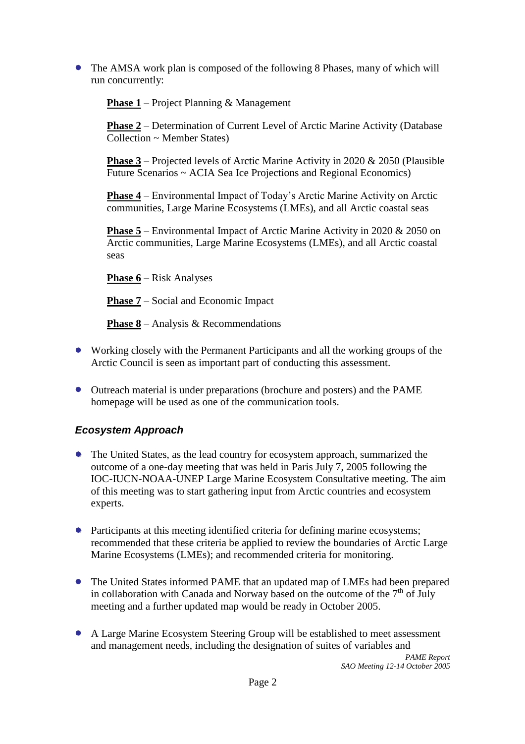The AMSA work plan is composed of the following 8 Phases, many of which will run concurrently:

**Phase 1** – Project Planning & Management

Phase 2 – Determination of Current Level of Arctic Marine Activity (Database Collection ~ Member States)

**Phase 3** – Projected levels of Arctic Marine Activity in 2020  $\&$  2050 (Plausible Future Scenarios ~ ACIA Sea Ice Projections and Regional Economics)

**Phase 4** – Environmental Impact of Today's Arctic Marine Activity on Arctic communities, Large Marine Ecosystems (LMEs), and all Arctic coastal seas

**Phase 5** – Environmental Impact of Arctic Marine Activity in 2020 & 2050 on Arctic communities, Large Marine Ecosystems (LMEs), and all Arctic coastal seas

**Phase 6** – Risk Analyses

**Phase 7** – Social and Economic Impact

**Phase 8** – Analysis & Recommendations

- Working closely with the Permanent Participants and all the working groups of the Arctic Council is seen as important part of conducting this assessment.
- Outreach material is under preparations (brochure and posters) and the PAME homepage will be used as one of the communication tools.

## *Ecosystem Approach*

- The United States, as the lead country for ecosystem approach, summarized the outcome of a one-day meeting that was held in Paris July 7, 2005 following the IOC-IUCN-NOAA-UNEP Large Marine Ecosystem Consultative meeting. The aim of this meeting was to start gathering input from Arctic countries and ecosystem experts.
- Participants at this meeting identified criteria for defining marine ecosystems; recommended that these criteria be applied to review the boundaries of Arctic Large Marine Ecosystems (LMEs); and recommended criteria for monitoring.
- The United States informed PAME that an updated map of LMEs had been prepared in collaboration with Canada and Norway based on the outcome of the  $7<sup>th</sup>$  of July meeting and a further updated map would be ready in October 2005.
- A Large Marine Ecosystem Steering Group will be established to meet assessment and management needs, including the designation of suites of variables and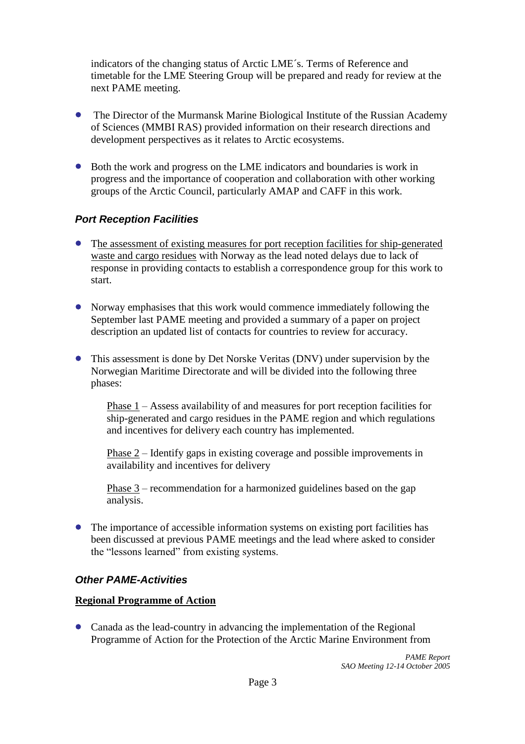indicators of the changing status of Arctic LME´s. Terms of Reference and timetable for the LME Steering Group will be prepared and ready for review at the next PAME meeting.

- The Director of the Murmansk Marine Biological Institute of the Russian Academy of Sciences (MMBI RAS) provided information on their research directions and development perspectives as it relates to Arctic ecosystems.
- Both the work and progress on the LME indicators and boundaries is work in progress and the importance of cooperation and collaboration with other working groups of the Arctic Council, particularly AMAP and CAFF in this work.

## *Port Reception Facilities*

- The assessment of existing measures for port reception facilities for ship-generated waste and cargo residues with Norway as the lead noted delays due to lack of response in providing contacts to establish a correspondence group for this work to start.
- Norway emphasises that this work would commence immediately following the September last PAME meeting and provided a summary of a paper on project description an updated list of contacts for countries to review for accuracy.
- This assessment is done by Det Norske Veritas (DNV) under supervision by the Norwegian Maritime Directorate and will be divided into the following three phases:

Phase 1 –Assess availability of and measures for port reception facilities for ship-generated and cargo residues in the PAME region and which regulations and incentives for delivery each country has implemented.

Phase  $2$  – Identify gaps in existing coverage and possible improvements in availability and incentives for delivery

Phase  $3$  – recommendation for a harmonized guidelines based on the gap analysis.

The importance of accessible information systems on existing port facilities has been discussed at previous PAME meetings and the lead where asked to consider the "lessons learned" from existing systems.

## *Other PAME-Activities*

#### **Regional Programme of Action**

Canada as the lead-country in advancing the implementation of the Regional Programme of Action for the Protection of the Arctic Marine Environment from